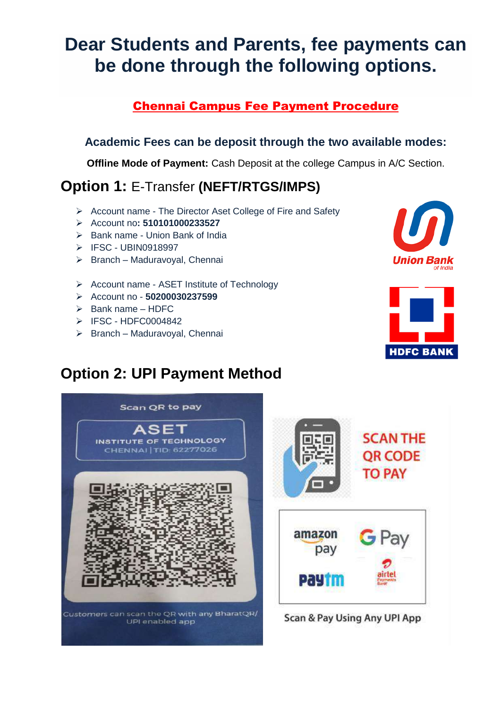# **Dear Students and Parents, fee payments can be done through the following options.**

#### Chennai Campus Fee Payment Procedure

#### **Academic Fees can be deposit through the two available modes:**

**Offline Mode of Payment:** Cash Deposit at the college Campus in A/C Section.

### **Option 1:** E-Transfer **(NEFT/RTGS/IMPS)**

- Account name The Director Aset College of Fire and Safety
- Account no**: 510101000233527**
- $\triangleright$  Bank name Union Bank of India
- > IFSC UBIN0918997
- $\triangleright$  Branch Maduravoyal, Chennai
- ▶ Account name ASET Institute of Technology
- Account no **50200030237599**
- $\triangleright$  Bank name HDFC
- $\triangleright$  IFSC HDFC0004842
- $\triangleright$  Branch Maduravoyal, Chennai





## **Option 2: UPI Payment Method**





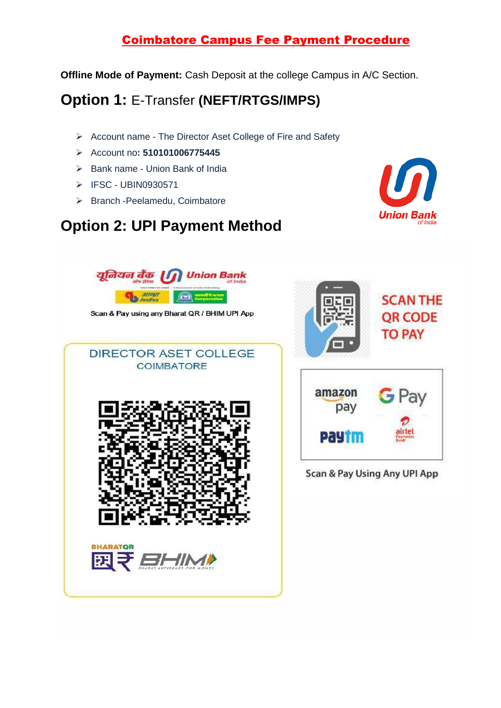#### Coimbatore Campus Fee Payment Procedure

**Offline Mode of Payment:** Cash Deposit at the college Campus in A/C Section.

## **Option 1:** E-Transfer **(NEFT/RTGS/IMPS)**

- $\triangleright$  Account name The Director Aset College of Fire and Safety
- Account no**: 510101006775445**
- $\triangleright$  Bank name Union Bank of India
- $\triangleright$  IFSC UBIN0930571
- > Branch -Peelamedu, Coimbatore

## **Option 2: UPI Payment Method**